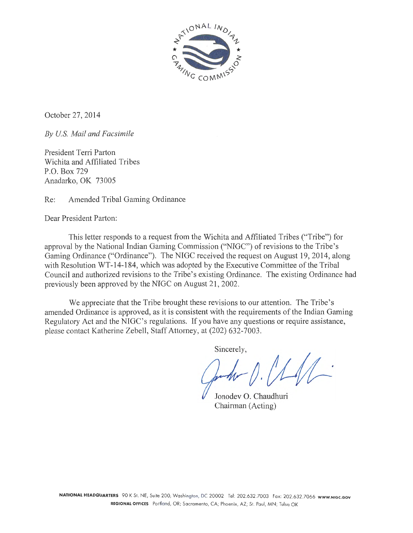

October 27, 2014

*By US. Mail and Facsimile* 

President Terri Parton Wichita and Affiliated Tribes P.O. Box 729 Anadarko, OK 73005

Re: Amended Tribal Gaming Ordinance

Dear President Parton:

This letter responds to a request from the Wichita and Affiliated Tribes ("Tribe") for approval by the National Indian Gaming Commission ("NIGC") of revisions to the Tribe's Gaming Ordinance ("Ordinance"). The NIGC received the request on August 19, 2014, along with Resolution WT-14-184, which was adopted by the Executive Committee of the Tribal Council and authorized revisions to the Tribe's existing Ordinance. The existing Ordinance had previously been approved by the NIGC on August 21, 2002.

We appreciate that the Tribe brought these revisions to our attention. The Tribe's amended Ordinance is approved, as it is consistent with the requirements of the Indian Gaming Regulatory Act and the NIGC's regulations. If you have any questions or require assistance, please contact Katherine Zebell, Staff Attorney, at (202) 632-7003 .

Sincerely,

Jonodev 0. Chaudhuri Chairman (Acting)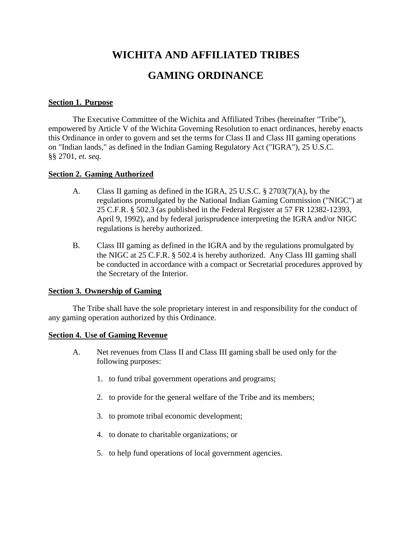# **WICHITA AND AFFILIATED TRIBES GAMING ORDINANCE**

#### **Section 1. Purpose**

The Executive Committee of the Wichita and Affiliated Tribes (hereinafter "Tribe"), empowered by Article V of the Wichita Governing Resolution to enact ordinances, hereby enacts this Ordinance in order to govern and set the terms for Class II and Class III gaming operations on "Indian lands," as defined in the Indian Gaming Regulatory Act ("IGRA"), 25 U.S.C. §§ 2701, *et. seq.*

#### **Section 2. Gaming Authorized**

- A. Class II gaming as defined in the IGRA, 25 U.S.C. § 2703(7)(A), by the regulations promulgated by the National Indian Gaming Commission ("NIGC") at 25 C.F.R. § 502.3 (as published in the Federal Register at 57 FR 12382-12393, April 9, 1992), and by federal jurisprudence interpreting the IGRA and/or NIGC regulations is hereby authorized.
- B. Class III gaming as defined in the IGRA and by the regulations promulgated by the NIGC at 25 C.F.R. § 502.4 is hereby authorized. Any Class III gaming shall be conducted in accordance with a compact or Secretarial procedures approved by the Secretary of the Interior.

#### **Section 3. Ownership of Gaming**

The Tribe shall have the sole proprietary interest in and responsibility for the conduct of any gaming operation authorized by this Ordinance.

#### **Section 4. Use of Gaming Revenue**

- A. Net revenues from Class II and Class III gaming shall be used only for the following purposes:
	- 1. to fund tribal government operations and programs;
	- 2. to provide for the general welfare of the Tribe and its members;
	- 3. to promote tribal economic development;
	- 4. to donate to charitable organizations; or
	- 5. to help fund operations of local government agencies.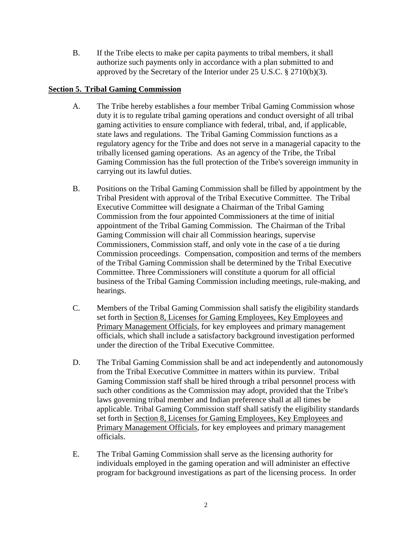B. If the Tribe elects to make per capita payments to tribal members, it shall authorize such payments only in accordance with a plan submitted to and approved by the Secretary of the Interior under 25 U.S.C. § 2710(b)(3).

# **Section 5. Tribal Gaming Commission**

- A. The Tribe hereby establishes a four member Tribal Gaming Commission whose duty it is to regulate tribal gaming operations and conduct oversight of all tribal gaming activities to ensure compliance with federal, tribal, and, if applicable, state laws and regulations. The Tribal Gaming Commission functions as a regulatory agency for the Tribe and does not serve in a managerial capacity to the tribally licensed gaming operations. As an agency of the Tribe, the Tribal Gaming Commission has the full protection of the Tribe's sovereign immunity in carrying out its lawful duties.
- B. Positions on the Tribal Gaming Commission shall be filled by appointment by the Tribal President with approval of the Tribal Executive Committee. The Tribal Executive Committee will designate a Chairman of the Tribal Gaming Commission from the four appointed Commissioners at the time of initial appointment of the Tribal Gaming Commission. The Chairman of the Tribal Gaming Commission will chair all Commission hearings, supervise Commissioners, Commission staff, and only vote in the case of a tie during Commission proceedings. Compensation, composition and terms of the members of the Tribal Gaming Commission shall be determined by the Tribal Executive Committee. Three Commissioners will constitute a quorum for all official business of the Tribal Gaming Commission including meetings, rule-making, and hearings.
- C. Members of the Tribal Gaming Commission shall satisfy the eligibility standards set forth in Section 8, Licenses for Gaming Employees, Key Employees and Primary Management Officials, for key employees and primary management officials, which shall include a satisfactory background investigation performed under the direction of the Tribal Executive Committee.
- D. The Tribal Gaming Commission shall be and act independently and autonomously from the Tribal Executive Committee in matters within its purview. Tribal Gaming Commission staff shall be hired through a tribal personnel process with such other conditions as the Commission may adopt, provided that the Tribe's laws governing tribal member and Indian preference shall at all times be applicable. Tribal Gaming Commission staff shall satisfy the eligibility standards set forth in Section 8, Licenses for Gaming Employees, Key Employees and Primary Management Officials, for key employees and primary management officials.
- E. The Tribal Gaming Commission shall serve as the licensing authority for individuals employed in the gaming operation and will administer an effective program for background investigations as part of the licensing process. In order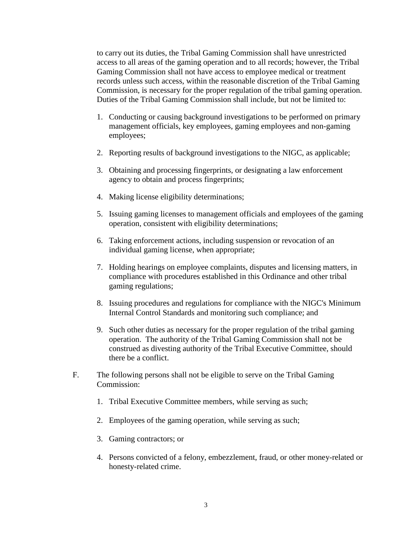to carry out its duties, the Tribal Gaming Commission shall have unrestricted access to all areas of the gaming operation and to all records; however, the Tribal Gaming Commission shall not have access to employee medical or treatment records unless such access, within the reasonable discretion of the Tribal Gaming Commission, is necessary for the proper regulation of the tribal gaming operation. Duties of the Tribal Gaming Commission shall include, but not be limited to:

- 1. Conducting or causing background investigations to be performed on primary management officials, key employees, gaming employees and non-gaming employees;
- 2. Reporting results of background investigations to the NIGC, as applicable;
- 3. Obtaining and processing fingerprints, or designating a law enforcement agency to obtain and process fingerprints;
- 4. Making license eligibility determinations;
- 5. Issuing gaming licenses to management officials and employees of the gaming operation, consistent with eligibility determinations;
- 6. Taking enforcement actions, including suspension or revocation of an individual gaming license, when appropriate;
- 7. Holding hearings on employee complaints, disputes and licensing matters, in compliance with procedures established in this Ordinance and other tribal gaming regulations;
- 8. Issuing procedures and regulations for compliance with the NIGC's Minimum Internal Control Standards and monitoring such compliance; and
- 9. Such other duties as necessary for the proper regulation of the tribal gaming operation. The authority of the Tribal Gaming Commission shall not be construed as divesting authority of the Tribal Executive Committee, should there be a conflict.
- F. The following persons shall not be eligible to serve on the Tribal Gaming Commission:
	- 1. Tribal Executive Committee members, while serving as such;
	- 2. Employees of the gaming operation, while serving as such;
	- 3. Gaming contractors; or
	- 4. Persons convicted of a felony, embezzlement, fraud, or other money-related or honesty-related crime.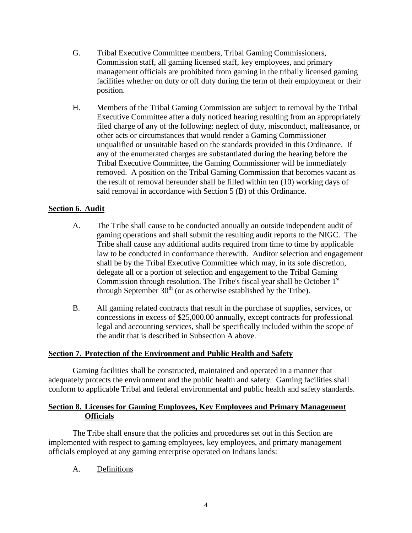- G. Tribal Executive Committee members, Tribal Gaming Commissioners, Commission staff, all gaming licensed staff, key employees, and primary management officials are prohibited from gaming in the tribally licensed gaming facilities whether on duty or off duty during the term of their employment or their position.
- H. Members of the Tribal Gaming Commission are subject to removal by the Tribal Executive Committee after a duly noticed hearing resulting from an appropriately filed charge of any of the following: neglect of duty, misconduct, malfeasance, or other acts or circumstances that would render a Gaming Commissioner unqualified or unsuitable based on the standards provided in this Ordinance. If any of the enumerated charges are substantiated during the hearing before the Tribal Executive Committee, the Gaming Commissioner will be immediately removed. A position on the Tribal Gaming Commission that becomes vacant as the result of removal hereunder shall be filled within ten (10) working days of said removal in accordance with Section 5 (B) of this Ordinance.

# **Section 6. Audit**

- A. The Tribe shall cause to be conducted annually an outside independent audit of gaming operations and shall submit the resulting audit reports to the NIGC. The Tribe shall cause any additional audits required from time to time by applicable law to be conducted in conformance therewith. Auditor selection and engagement shall be by the Tribal Executive Committee which may, in its sole discretion, delegate all or a portion of selection and engagement to the Tribal Gaming Commission through resolution. The Tribe's fiscal year shall be October  $1<sup>st</sup>$ through September  $30<sup>th</sup>$  (or as otherwise established by the Tribe).
- B. All gaming related contracts that result in the purchase of supplies, services, or concessions in excess of \$25,000.00 annually, except contracts for professional legal and accounting services, shall be specifically included within the scope of the audit that is described in Subsection A above.

# **Section 7. Protection of the Environment and Public Health and Safety**

Gaming facilities shall be constructed, maintained and operated in a manner that adequately protects the environment and the public health and safety. Gaming facilities shall conform to applicable Tribal and federal environmental and public health and safety standards.

#### **Section 8. Licenses for Gaming Employees, Key Employees and Primary Management Officials**

The Tribe shall ensure that the policies and procedures set out in this Section are implemented with respect to gaming employees, key employees, and primary management officials employed at any gaming enterprise operated on Indians lands:

A. Definitions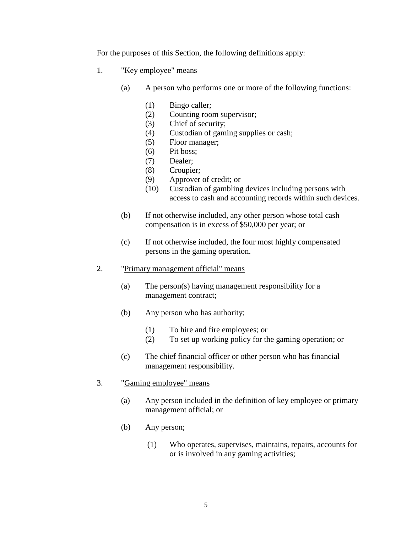For the purposes of this Section, the following definitions apply:

- 1. "Key employee" means
	- (a) A person who performs one or more of the following functions:
		- (1) Bingo caller;
		- (2) Counting room supervisor;
		- (3) Chief of security;
		- (4) Custodian of gaming supplies or cash;
		- (5) Floor manager;
		- (6) Pit boss;
		- (7) Dealer;
		- (8) Croupier;
		- (9) Approver of credit; or
		- (10) Custodian of gambling devices including persons with access to cash and accounting records within such devices.
	- (b) If not otherwise included, any other person whose total cash compensation is in excess of \$50,000 per year; or
	- (c) If not otherwise included, the four most highly compensated persons in the gaming operation.
- 2. "Primary management official" means
	- (a) The person(s) having management responsibility for a management contract;
	- (b) Any person who has authority;
		- (1) To hire and fire employees; or
		- (2) To set up working policy for the gaming operation; or
	- (c) The chief financial officer or other person who has financial management responsibility.
- 3. "Gaming employee" means
	- (a) Any person included in the definition of key employee or primary management official; or
	- (b) Any person;
		- (1) Who operates, supervises, maintains, repairs, accounts for or is involved in any gaming activities;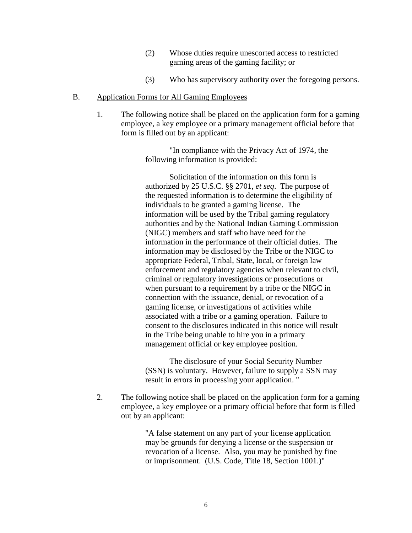- (2) Whose duties require unescorted access to restricted gaming areas of the gaming facility; or
- (3) Who has supervisory authority over the foregoing persons.

#### B. Application Forms for All Gaming Employees

1. The following notice shall be placed on the application form for a gaming employee, a key employee or a primary management official before that form is filled out by an applicant:

> "In compliance with the Privacy Act of 1974, the following information is provided:

Solicitation of the information on this form is authorized by 25 U.S.C. §§ 2701, *et seq*. The purpose of the requested information is to determine the eligibility of individuals to be granted a gaming license. The information will be used by the Tribal gaming regulatory authorities and by the National Indian Gaming Commission (NIGC) members and staff who have need for the information in the performance of their official duties. The information may be disclosed by the Tribe or the NIGC to appropriate Federal, Tribal, State, local, or foreign law enforcement and regulatory agencies when relevant to civil, criminal or regulatory investigations or prosecutions or when pursuant to a requirement by a tribe or the NIGC in connection with the issuance, denial, or revocation of a gaming license, or investigations of activities while associated with a tribe or a gaming operation. Failure to consent to the disclosures indicated in this notice will result in the Tribe being unable to hire you in a primary management official or key employee position.

The disclosure of your Social Security Number (SSN) is voluntary. However, failure to supply a SSN may result in errors in processing your application. "

2. The following notice shall be placed on the application form for a gaming employee, a key employee or a primary official before that form is filled out by an applicant:

> "A false statement on any part of your license application may be grounds for denying a license or the suspension or revocation of a license. Also, you may be punished by fine or imprisonment. (U.S. Code, Title 18, Section 1001.)"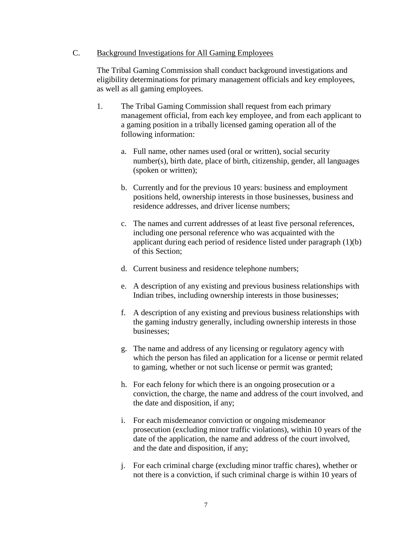#### C. Background Investigations for All Gaming Employees

The Tribal Gaming Commission shall conduct background investigations and eligibility determinations for primary management officials and key employees, as well as all gaming employees.

- 1. The Tribal Gaming Commission shall request from each primary management official, from each key employee, and from each applicant to a gaming position in a tribally licensed gaming operation all of the following information:
	- a. Full name, other names used (oral or written), social security number(s), birth date, place of birth, citizenship, gender, all languages (spoken or written);
	- b. Currently and for the previous 10 years: business and employment positions held, ownership interests in those businesses, business and residence addresses, and driver license numbers;
	- c. The names and current addresses of at least five personal references, including one personal reference who was acquainted with the applicant during each period of residence listed under paragraph (1)(b) of this Section;
	- d. Current business and residence telephone numbers;
	- e. A description of any existing and previous business relationships with Indian tribes, including ownership interests in those businesses;
	- f. A description of any existing and previous business relationships with the gaming industry generally, including ownership interests in those businesses;
	- g. The name and address of any licensing or regulatory agency with which the person has filed an application for a license or permit related to gaming, whether or not such license or permit was granted;
	- h. For each felony for which there is an ongoing prosecution or a conviction, the charge, the name and address of the court involved, and the date and disposition, if any;
	- i. For each misdemeanor conviction or ongoing misdemeanor prosecution (excluding minor traffic violations), within 10 years of the date of the application, the name and address of the court involved, and the date and disposition, if any;
	- j. For each criminal charge (excluding minor traffic chares), whether or not there is a conviction, if such criminal charge is within 10 years of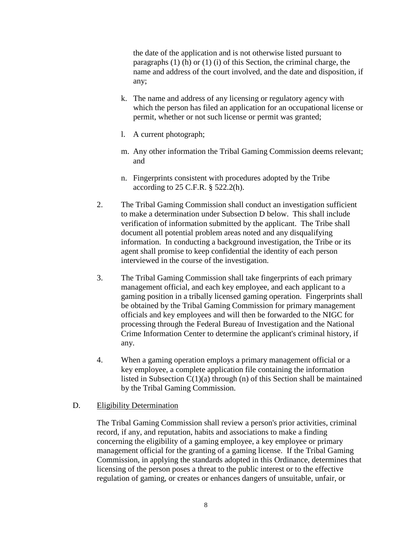the date of the application and is not otherwise listed pursuant to paragraphs (1) (h) or (1) (i) of this Section, the criminal charge, the name and address of the court involved, and the date and disposition, if any;

- k. The name and address of any licensing or regulatory agency with which the person has filed an application for an occupational license or permit, whether or not such license or permit was granted;
- l. A current photograph;
- m. Any other information the Tribal Gaming Commission deems relevant; and
- n. Fingerprints consistent with procedures adopted by the Tribe according to 25 C.F.R. § 522.2(h).
- 2. The Tribal Gaming Commission shall conduct an investigation sufficient to make a determination under Subsection D below. This shall include verification of information submitted by the applicant. The Tribe shall document all potential problem areas noted and any disqualifying information. In conducting a background investigation, the Tribe or its agent shall promise to keep confidential the identity of each person interviewed in the course of the investigation.
- 3. The Tribal Gaming Commission shall take fingerprints of each primary management official, and each key employee, and each applicant to a gaming position in a tribally licensed gaming operation. Fingerprints shall be obtained by the Tribal Gaming Commission for primary management officials and key employees and will then be forwarded to the NIGC for processing through the Federal Bureau of Investigation and the National Crime Information Center to determine the applicant's criminal history, if any.
- 4. When a gaming operation employs a primary management official or a key employee, a complete application file containing the information listed in Subsection  $C(1)(a)$  through (n) of this Section shall be maintained by the Tribal Gaming Commission.

# D. Eligibility Determination

The Tribal Gaming Commission shall review a person's prior activities, criminal record, if any, and reputation, habits and associations to make a finding concerning the eligibility of a gaming employee, a key employee or primary management official for the granting of a gaming license. If the Tribal Gaming Commission, in applying the standards adopted in this Ordinance, determines that licensing of the person poses a threat to the public interest or to the effective regulation of gaming, or creates or enhances dangers of unsuitable, unfair, or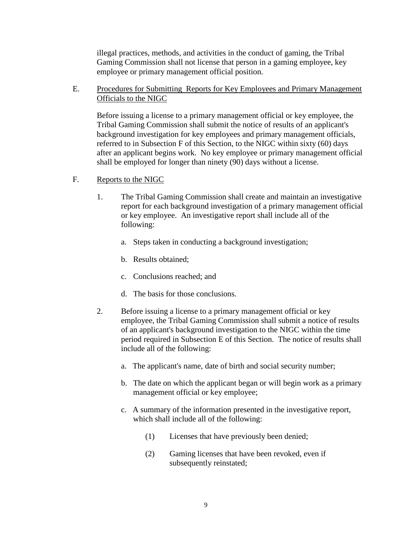illegal practices, methods, and activities in the conduct of gaming, the Tribal Gaming Commission shall not license that person in a gaming employee, key employee or primary management official position.

E. Procedures for Submitting Reports for Key Employees and Primary Management Officials to the NIGC

Before issuing a license to a primary management official or key employee, the Tribal Gaming Commission shall submit the notice of results of an applicant's background investigation for key employees and primary management officials, referred to in Subsection F of this Section, to the NIGC within sixty (60) days after an applicant begins work. No key employee or primary management official shall be employed for longer than ninety (90) days without a license.

- F. Reports to the NIGC
	- 1. The Tribal Gaming Commission shall create and maintain an investigative report for each background investigation of a primary management official or key employee. An investigative report shall include all of the following:
		- a. Steps taken in conducting a background investigation;
		- b. Results obtained;
		- c. Conclusions reached; and
		- d. The basis for those conclusions.
	- 2. Before issuing a license to a primary management official or key employee, the Tribal Gaming Commission shall submit a notice of results of an applicant's background investigation to the NIGC within the time period required in Subsection E of this Section. The notice of results shall include all of the following:
		- a. The applicant's name, date of birth and social security number;
		- b. The date on which the applicant began or will begin work as a primary management official or key employee;
		- c. A summary of the information presented in the investigative report, which shall include all of the following:
			- (1) Licenses that have previously been denied;
			- (2) Gaming licenses that have been revoked, even if subsequently reinstated;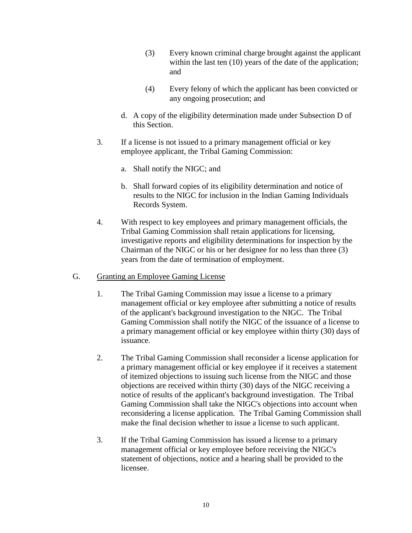- (3) Every known criminal charge brought against the applicant within the last ten (10) years of the date of the application; and
- (4) Every felony of which the applicant has been convicted or any ongoing prosecution; and
- d. A copy of the eligibility determination made under Subsection D of this Section.
- 3. If a license is not issued to a primary management official or key employee applicant, the Tribal Gaming Commission:
	- a. Shall notify the NIGC; and
	- b. Shall forward copies of its eligibility determination and notice of results to the NIGC for inclusion in the Indian Gaming Individuals Records System.
- 4. With respect to key employees and primary management officials, the Tribal Gaming Commission shall retain applications for licensing, investigative reports and eligibility determinations for inspection by the Chairman of the NIGC or his or her designee for no less than three (3) years from the date of termination of employment.
- G. Granting an Employee Gaming License
	- 1. The Tribal Gaming Commission may issue a license to a primary management official or key employee after submitting a notice of results of the applicant's background investigation to the NIGC. The Tribal Gaming Commission shall notify the NIGC of the issuance of a license to a primary management official or key employee within thirty (30) days of issuance.
	- 2. The Tribal Gaming Commission shall reconsider a license application for a primary management official or key employee if it receives a statement of itemized objections to issuing such license from the NIGC and those objections are received within thirty (30) days of the NIGC receiving a notice of results of the applicant's background investigation. The Tribal Gaming Commission shall take the NIGC's objections into account when reconsidering a license application. The Tribal Gaming Commission shall make the final decision whether to issue a license to such applicant.
	- 3. If the Tribal Gaming Commission has issued a license to a primary management official or key employee before receiving the NIGC's statement of objections, notice and a hearing shall be provided to the licensee.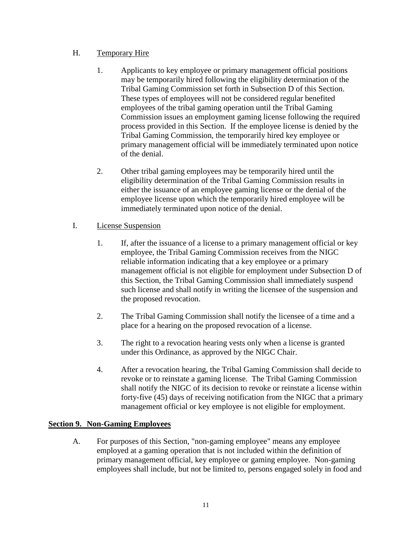# H. Temporary Hire

- 1. Applicants to key employee or primary management official positions may be temporarily hired following the eligibility determination of the Tribal Gaming Commission set forth in Subsection D of this Section. These types of employees will not be considered regular benefited employees of the tribal gaming operation until the Tribal Gaming Commission issues an employment gaming license following the required process provided in this Section. If the employee license is denied by the Tribal Gaming Commission, the temporarily hired key employee or primary management official will be immediately terminated upon notice of the denial.
- 2. Other tribal gaming employees may be temporarily hired until the eligibility determination of the Tribal Gaming Commission results in either the issuance of an employee gaming license or the denial of the employee license upon which the temporarily hired employee will be immediately terminated upon notice of the denial.

# I. License Suspension

- 1. If, after the issuance of a license to a primary management official or key employee, the Tribal Gaming Commission receives from the NIGC reliable information indicating that a key employee or a primary management official is not eligible for employment under Subsection D of this Section, the Tribal Gaming Commission shall immediately suspend such license and shall notify in writing the licensee of the suspension and the proposed revocation.
- 2. The Tribal Gaming Commission shall notify the licensee of a time and a place for a hearing on the proposed revocation of a license.
- 3. The right to a revocation hearing vests only when a license is granted under this Ordinance, as approved by the NIGC Chair.
- 4. After a revocation hearing, the Tribal Gaming Commission shall decide to revoke or to reinstate a gaming license. The Tribal Gaming Commission shall notify the NIGC of its decision to revoke or reinstate a license within forty-five (45) days of receiving notification from the NIGC that a primary management official or key employee is not eligible for employment.

# **Section 9. Non-Gaming Employees**

A. For purposes of this Section, "non-gaming employee" means any employee employed at a gaming operation that is not included within the definition of primary management official, key employee or gaming employee. Non-gaming employees shall include, but not be limited to, persons engaged solely in food and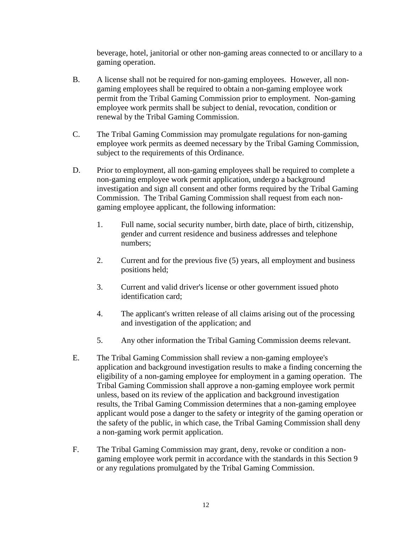beverage, hotel, janitorial or other non-gaming areas connected to or ancillary to a gaming operation.

- B. A license shall not be required for non-gaming employees. However, all nongaming employees shall be required to obtain a non-gaming employee work permit from the Tribal Gaming Commission prior to employment. Non-gaming employee work permits shall be subject to denial, revocation, condition or renewal by the Tribal Gaming Commission.
- C. The Tribal Gaming Commission may promulgate regulations for non-gaming employee work permits as deemed necessary by the Tribal Gaming Commission, subject to the requirements of this Ordinance.
- D. Prior to employment, all non-gaming employees shall be required to complete a non-gaming employee work permit application, undergo a background investigation and sign all consent and other forms required by the Tribal Gaming Commission. The Tribal Gaming Commission shall request from each nongaming employee applicant, the following information:
	- 1. Full name, social security number, birth date, place of birth, citizenship, gender and current residence and business addresses and telephone numbers;
	- 2. Current and for the previous five (5) years, all employment and business positions held;
	- 3. Current and valid driver's license or other government issued photo identification card;
	- 4. The applicant's written release of all claims arising out of the processing and investigation of the application; and
	- 5. Any other information the Tribal Gaming Commission deems relevant.
- E. The Tribal Gaming Commission shall review a non-gaming employee's application and background investigation results to make a finding concerning the eligibility of a non-gaming employee for employment in a gaming operation. The Tribal Gaming Commission shall approve a non-gaming employee work permit unless, based on its review of the application and background investigation results, the Tribal Gaming Commission determines that a non-gaming employee applicant would pose a danger to the safety or integrity of the gaming operation or the safety of the public, in which case, the Tribal Gaming Commission shall deny a non-gaming work permit application.
- F. The Tribal Gaming Commission may grant, deny, revoke or condition a nongaming employee work permit in accordance with the standards in this Section 9 or any regulations promulgated by the Tribal Gaming Commission.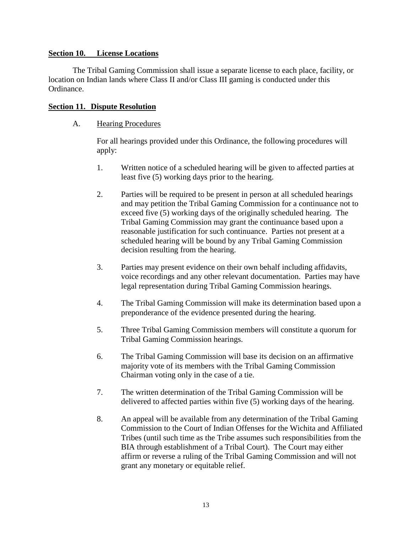#### **Section 10. License Locations**

The Tribal Gaming Commission shall issue a separate license to each place, facility, or location on Indian lands where Class II and/or Class III gaming is conducted under this Ordinance.

#### **Section 11. Dispute Resolution**

#### A. Hearing Procedures

For all hearings provided under this Ordinance, the following procedures will apply:

- 1. Written notice of a scheduled hearing will be given to affected parties at least five (5) working days prior to the hearing.
- 2. Parties will be required to be present in person at all scheduled hearings and may petition the Tribal Gaming Commission for a continuance not to exceed five (5) working days of the originally scheduled hearing. The Tribal Gaming Commission may grant the continuance based upon a reasonable justification for such continuance. Parties not present at a scheduled hearing will be bound by any Tribal Gaming Commission decision resulting from the hearing.
- 3. Parties may present evidence on their own behalf including affidavits, voice recordings and any other relevant documentation. Parties may have legal representation during Tribal Gaming Commission hearings.
- 4. The Tribal Gaming Commission will make its determination based upon a preponderance of the evidence presented during the hearing.
- 5. Three Tribal Gaming Commission members will constitute a quorum for Tribal Gaming Commission hearings.
- 6. The Tribal Gaming Commission will base its decision on an affirmative majority vote of its members with the Tribal Gaming Commission Chairman voting only in the case of a tie.
- 7. The written determination of the Tribal Gaming Commission will be delivered to affected parties within five (5) working days of the hearing.
- 8. An appeal will be available from any determination of the Tribal Gaming Commission to the Court of Indian Offenses for the Wichita and Affiliated Tribes (until such time as the Tribe assumes such responsibilities from the BIA through establishment of a Tribal Court). The Court may either affirm or reverse a ruling of the Tribal Gaming Commission and will not grant any monetary or equitable relief.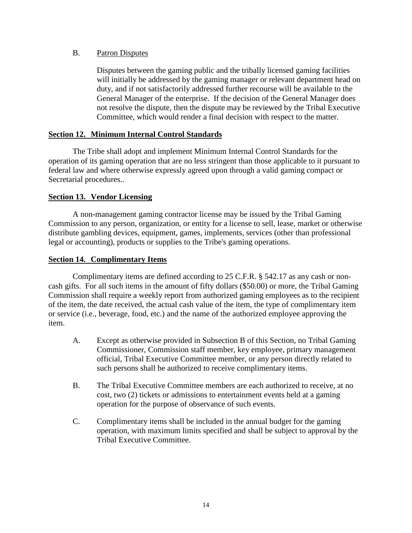#### B. Patron Disputes

Disputes between the gaming public and the tribally licensed gaming facilities will initially be addressed by the gaming manager or relevant department head on duty, and if not satisfactorily addressed further recourse will be available to the General Manager of the enterprise. If the decision of the General Manager does not resolve the dispute, then the dispute may be reviewed by the Tribal Executive Committee, which would render a final decision with respect to the matter.

#### **Section 12. Minimum Internal Control Standards**

The Tribe shall adopt and implement Minimum Internal Control Standards for the operation of its gaming operation that are no less stringent than those applicable to it pursuant to federal law and where otherwise expressly agreed upon through a valid gaming compact or Secretarial procedures..

# **Section 13. Vendor Licensing**

A non-management gaming contractor license may be issued by the Tribal Gaming Commission to any person, organization, or entity for a license to sell, lease, market or otherwise distribute gambling devices, equipment, games, implements, services (other than professional legal or accounting), products or supplies to the Tribe's gaming operations.

#### **Section 14. Complimentary Items**

Complimentary items are defined according to 25 C.F.R. § 542.17 as any cash or noncash gifts. For all such items in the amount of fifty dollars (\$50.00) or more, the Tribal Gaming Commission shall require a weekly report from authorized gaming employees as to the recipient of the item, the date received, the actual cash value of the item, the type of complimentary item or service (i.e., beverage, food, etc.) and the name of the authorized employee approving the item.

- A. Except as otherwise provided in Subsection B of this Section, no Tribal Gaming Commissioner, Commission staff member, key employee, primary management official, Tribal Executive Committee member, or any person directly related to such persons shall be authorized to receive complimentary items.
- B. The Tribal Executive Committee members are each authorized to receive, at no cost, two (2) tickets or admissions to entertainment events held at a gaming operation for the purpose of observance of such events.
- C. Complimentary items shall be included in the annual budget for the gaming operation, with maximum limits specified and shall be subject to approval by the Tribal Executive Committee.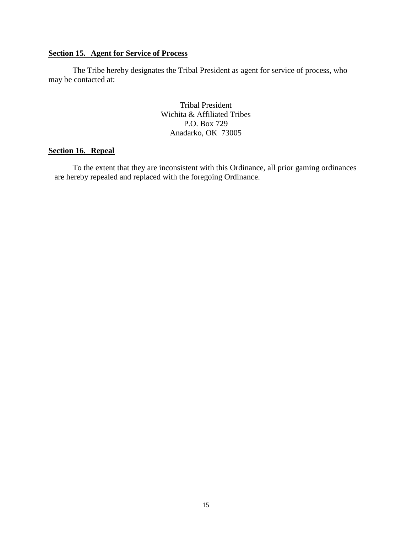# **Section 15. Agent for Service of Process**

The Tribe hereby designates the Tribal President as agent for service of process, who may be contacted at:

> Tribal President Wichita & Affiliated Tribes P.O. Box 729 Anadarko, OK 73005

# **Section 16. Repeal**

To the extent that they are inconsistent with this Ordinance, all prior gaming ordinances are hereby repealed and replaced with the foregoing Ordinance.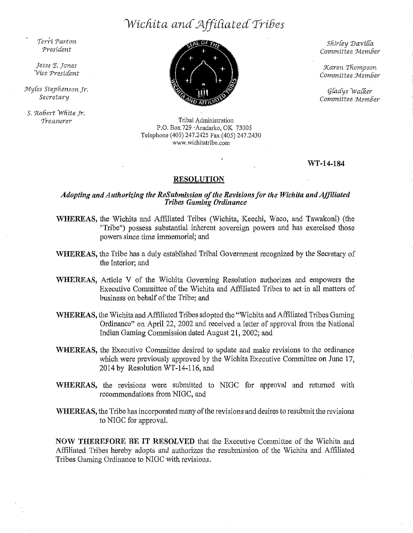# *Wicfi:ita ana .J.lffiCiater£ TriGes*

*Terri. Tart·on Presiaent* 

*Jesse* 'E. *Jones 'Vice Tresiaent* 

 $M$ yles Stephenson Jr. *Secretary* 

*S. 'RoGert* Wfiite *Jr, '1-reasurer* 



Tribal Administration P.O. Box 729 ·Anadarko, OK 73005 Telephone (405) 247 .2425 Fax ( 405) 247 .2430 www.wichitatribe.com

*Sfiir(ey 'Davif(a Comm.iltee Jvlem.Ger* 

*Xaren Tfiompson. Committee JvlemGer* 

*(j(a£ys )Va(R.er Committee JvlemGer* 

WT-14-184

#### RESOLUTION

# *Adopting and Authorizing the ReSubmission of the Revisions for the Wichita and Affiliated Tribes Gaming Ordinance*

- WHEREAS, the Wichita and Affiliated Tribes (Wichita, Keechl, Waco, and Tawakoni) (the "Tribe") possess substantial inherent sovereign powers and has exercised those powers since time immemorial; and
- WHEREAS, the Tribe has a duly established Tribal Govemment recognized by the Secretary of the Interior; and
- WHEREAS, Article V of the Wichita Governing Resolution authorizes and empowers the Executive Committee of the Wichita and Affiliated Tribes to act in all matters of business on behalf of the Tribe; and
- WHEREAS, the Wichita and Affiliated Tribes adopted the "Wichita and Affiliated Tribes Gaming Ordinance" on April 22, 2002 and received a letter of approval from the National Indian Gaming Commission dated August 21, 2002; and
- WHEREAS, the Executive Committee desired to update and make revisions to the ordinance which were previously approved by the Wichita Executive Committee on June 17, 2014 by Resolution WT-14 $-116$ , and
- WHEREAS, the revisions were submitted to NIGC for approval and retumed with recommendations from NIGC, and
- WHEREAS, the Tribe has incorporated many of the revisions and desires to resubmit the revisions to NIGC for approval.

NOW THEREFORE BE IT RESOLVED that the Executive Committee of the Wichita and Affiliated Tribes hereby adopts and authorizes the resubmission of the Wichita and Affiliated Tribes Gaming Ordinance to NIGC with revisions.